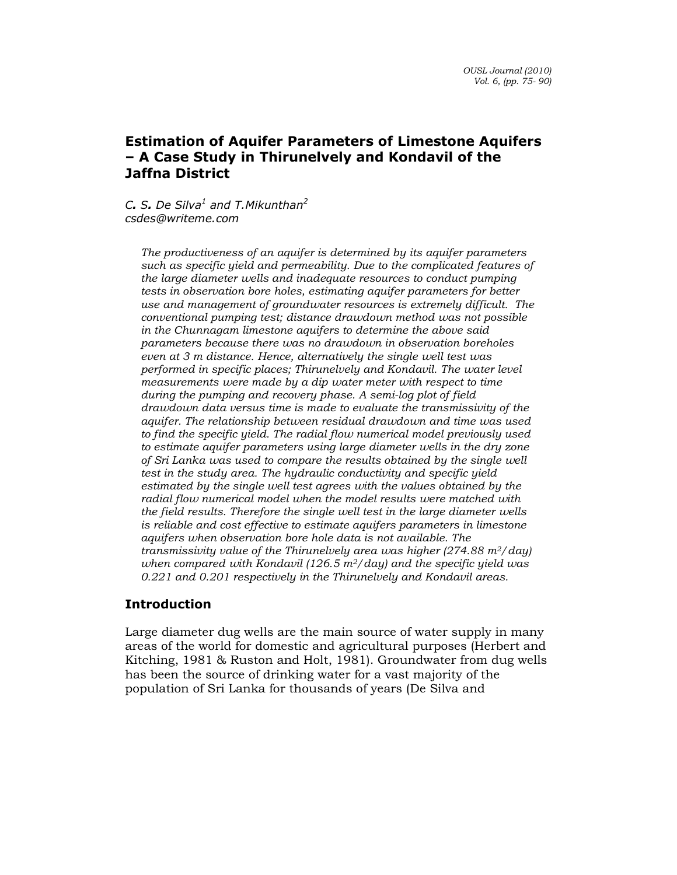C. S. De Silva<sup>1</sup> and T. Mikunthan<sup>2</sup> csdes@writeme.com

The productiveness of an aquifer is determined by its aquifer parameters such as specific yield and permeability. Due to the complicated features of the large diameter wells and inadequate resources to conduct pumping tests in observation bore holes, estimating aquifer parameters for better use and management of groundwater resources is extremely difficult. The conventional pumping test; distance drawdown method was not possible in the Chunnagam limestone aquifers to determine the above said parameters because there was no drawdown in observation boreholes even at 3 m distance. Hence, alternatively the single well test was performed in specific places; Thirunelvely and Kondavil. The water level measurements were made by a dip water meter with respect to time during the pumping and recovery phase. A semi-log plot of field drawdown data versus time is made to evaluate the transmissivity of the aquifer. The relationship between residual drawdown and time was used to find the specific yield. The radial flow numerical model previously used to estimate aquifer parameters using large diameter wells in the dry zone of Sri Lanka was used to compare the results obtained by the single well test in the study area. The hydraulic conductivity and specific yield estimated by the single well test agrees with the values obtained by the radial flow numerical model when the model results were matched with the field results. Therefore the single well test in the large diameter wells is reliable and cost effective to estimate aquifers parameters in limestone aquifers when observation bore hole data is not available. The transmissivity value of the Thirunelvely area was higher  $(274.88 \text{ m}^2/\text{day})$ when compared with Kondavil (126.5  $m^2$ /day) and the specific yield was 0.221 and 0.201 respectively in the Thirunelvely and Kondavil areas.

## Introduction

Large diameter dug wells are the main source of water supply in many areas of the world for domestic and agricultural purposes (Herbert and Kitching, 1981 & Ruston and Holt, 1981). Groundwater from dug wells has been the source of drinking water for a vast majority of the population of Sri Lanka for thousands of years (De Silva and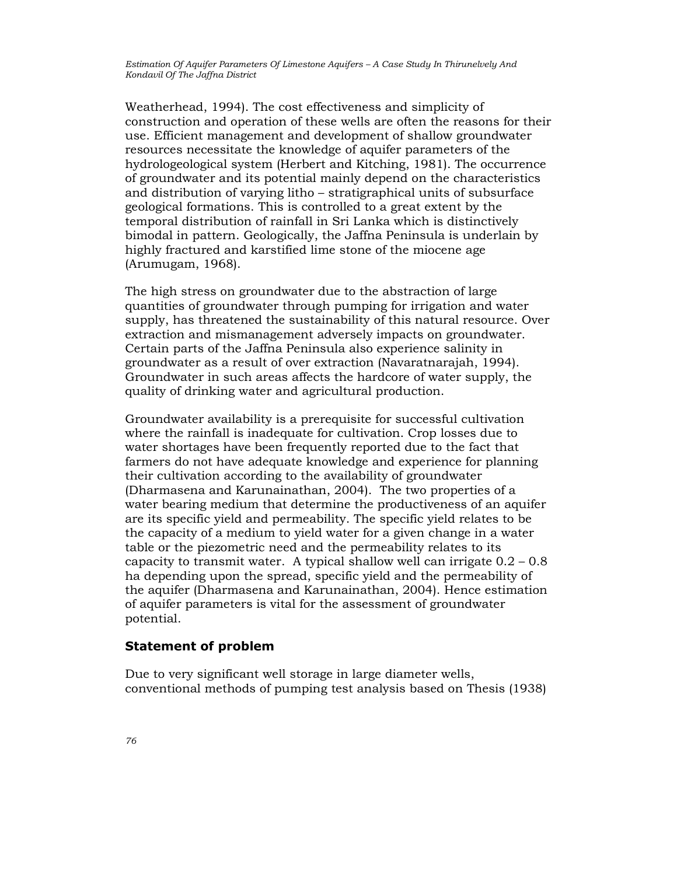Weatherhead, 1994). The cost effectiveness and simplicity of construction and operation of these wells are often the reasons for their use. Efficient management and development of shallow groundwater resources necessitate the knowledge of aquifer parameters of the hydrologeological system (Herbert and Kitching, 1981). The occurrence of groundwater and its potential mainly depend on the characteristics and distribution of varying litho – stratigraphical units of subsurface geological formations. This is controlled to a great extent by the temporal distribution of rainfall in Sri Lanka which is distinctively bimodal in pattern. Geologically, the Jaffna Peninsula is underlain by highly fractured and karstified lime stone of the miocene age (Arumugam, 1968).

The high stress on groundwater due to the abstraction of large quantities of groundwater through pumping for irrigation and water supply, has threatened the sustainability of this natural resource. Over extraction and mismanagement adversely impacts on groundwater. Certain parts of the Jaffna Peninsula also experience salinity in groundwater as a result of over extraction (Navaratnarajah, 1994). Groundwater in such areas affects the hardcore of water supply, the quality of drinking water and agricultural production.

Groundwater availability is a prerequisite for successful cultivation where the rainfall is inadequate for cultivation. Crop losses due to water shortages have been frequently reported due to the fact that farmers do not have adequate knowledge and experience for planning their cultivation according to the availability of groundwater (Dharmasena and Karunainathan, 2004). The two properties of a water bearing medium that determine the productiveness of an aquifer are its specific yield and permeability. The specific yield relates to be the capacity of a medium to yield water for a given change in a water table or the piezometric need and the permeability relates to its capacity to transmit water. A typical shallow well can irrigate  $0.2 - 0.8$ ha depending upon the spread, specific yield and the permeability of the aquifer (Dharmasena and Karunainathan, 2004). Hence estimation of aquifer parameters is vital for the assessment of groundwater potential.

#### Statement of problem

Due to very significant well storage in large diameter wells, conventional methods of pumping test analysis based on Thesis (1938)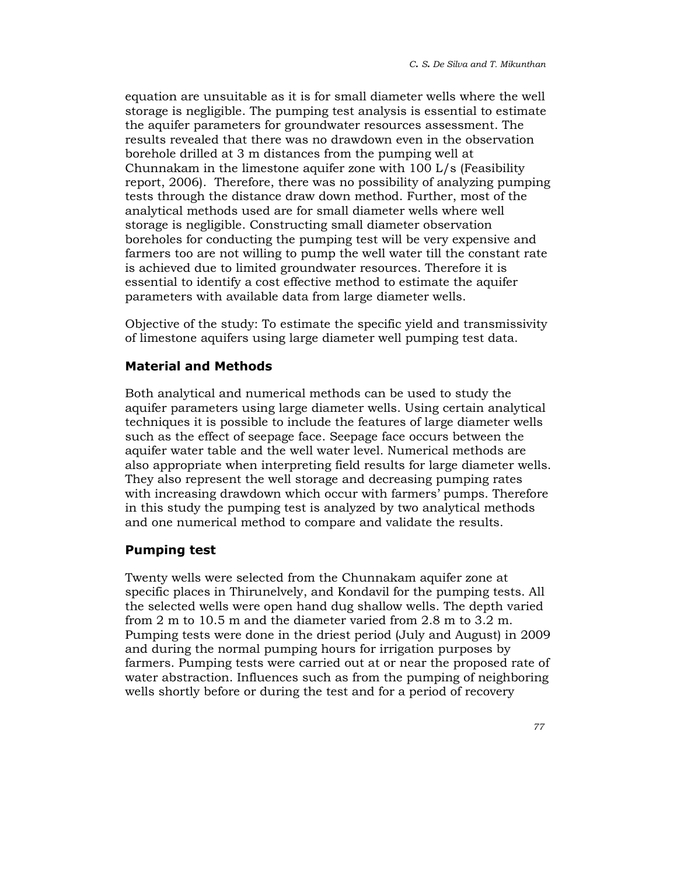equation are unsuitable as it is for small diameter wells where the well storage is negligible. The pumping test analysis is essential to estimate the aquifer parameters for groundwater resources assessment. The results revealed that there was no drawdown even in the observation borehole drilled at 3 m distances from the pumping well at Chunnakam in the limestone aquifer zone with 100 L/s (Feasibility report, 2006). Therefore, there was no possibility of analyzing pumping tests through the distance draw down method. Further, most of the analytical methods used are for small diameter wells where well storage is negligible. Constructing small diameter observation boreholes for conducting the pumping test will be very expensive and farmers too are not willing to pump the well water till the constant rate is achieved due to limited groundwater resources. Therefore it is essential to identify a cost effective method to estimate the aquifer parameters with available data from large diameter wells.

Objective of the study: To estimate the specific yield and transmissivity of limestone aquifers using large diameter well pumping test data.

## Material and Methods

Both analytical and numerical methods can be used to study the aquifer parameters using large diameter wells. Using certain analytical techniques it is possible to include the features of large diameter wells such as the effect of seepage face. Seepage face occurs between the aquifer water table and the well water level. Numerical methods are also appropriate when interpreting field results for large diameter wells. They also represent the well storage and decreasing pumping rates with increasing drawdown which occur with farmers' pumps. Therefore in this study the pumping test is analyzed by two analytical methods and one numerical method to compare and validate the results.

## Pumping test

Twenty wells were selected from the Chunnakam aquifer zone at specific places in Thirunelvely, and Kondavil for the pumping tests. All the selected wells were open hand dug shallow wells. The depth varied from 2 m to 10.5 m and the diameter varied from 2.8 m to 3.2 m. Pumping tests were done in the driest period (July and August) in 2009 and during the normal pumping hours for irrigation purposes by farmers. Pumping tests were carried out at or near the proposed rate of water abstraction. Influences such as from the pumping of neighboring wells shortly before or during the test and for a period of recovery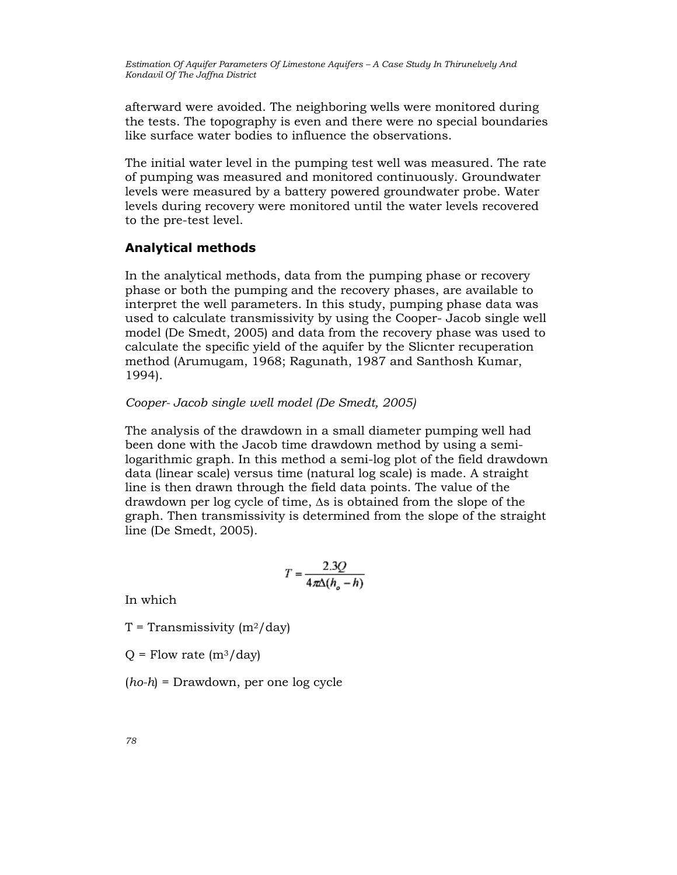afterward were avoided. The neighboring wells were monitored during the tests. The topography is even and there were no special boundaries like surface water bodies to influence the observations.

The initial water level in the pumping test well was measured. The rate of pumping was measured and monitored continuously. Groundwater levels were measured by a battery powered groundwater probe. Water levels during recovery were monitored until the water levels recovered to the pre-test level.

### Analytical methods

In the analytical methods, data from the pumping phase or recovery phase or both the pumping and the recovery phases, are available to interpret the well parameters. In this study, pumping phase data was used to calculate transmissivity by using the Cooper- Jacob single well model (De Smedt, 2005) and data from the recovery phase was used to calculate the specific yield of the aquifer by the Slicnter recuperation method (Arumugam, 1968; Ragunath, 1987 and Santhosh Kumar, 1994).

#### Cooper- Jacob single well model (De Smedt, 2005)

The analysis of the drawdown in a small diameter pumping well had been done with the Jacob time drawdown method by using a semilogarithmic graph. In this method a semi-log plot of the field drawdown data (linear scale) versus time (natural log scale) is made. A straight line is then drawn through the field data points. The value of the drawdown per log cycle of time, ∆s is obtained from the slope of the graph. Then transmissivity is determined from the slope of the straight line (De Smedt, 2005).

$$
T = \frac{2.3Q}{4\pi\Delta(h_o - h)}
$$

In which

 $T =$  Transmissivity  $(m^2 / day)$ 

 $Q =$  Flow rate  $(m^3/day)$ 

 $(ho-h)$  = Drawdown, per one log cycle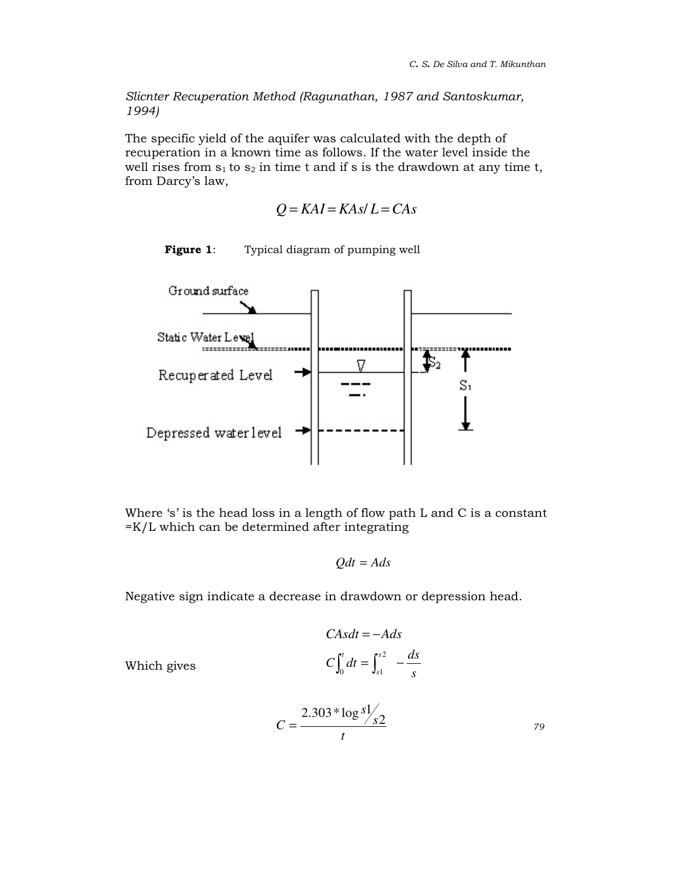Slicnter Recuperation Method (Ragunathan, 1987 and Santoskumar, 1994)

The specific yield of the aquifer was calculated with the depth of recuperation in a known time as follows. If the water level inside the well rises from  $s_1$  to  $s_2$  in time t and if s is the drawdown at any time t, from Darcy's law,

$$
Q = KAI = KAs/L = CAs
$$



Figure 1: Typical diagram of pumping well

Where 's' is the head loss in a length of flow path L and C is a constant =K/L which can be determined after integrating

$$
Qdt = Ads
$$

Negative sign indicate a decrease in drawdown or depression head.

$$
CAsdt = -Ads
$$

$$
C\int_0^t dt = \int_{s1}^{s2} -\frac{ds}{s}
$$

Which gives

$$
C = \frac{2.303 * \log s / s}{t}
$$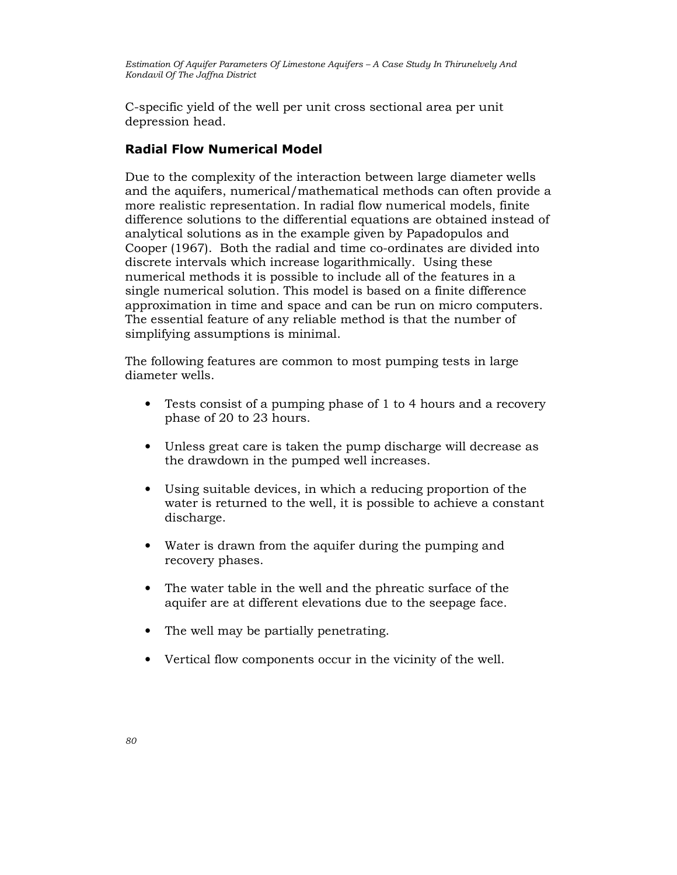C-specific yield of the well per unit cross sectional area per unit depression head.

## Radial Flow Numerical Model

Due to the complexity of the interaction between large diameter wells and the aquifers, numerical/mathematical methods can often provide a more realistic representation. In radial flow numerical models, finite difference solutions to the differential equations are obtained instead of analytical solutions as in the example given by Papadopulos and Cooper (1967). Both the radial and time co-ordinates are divided into discrete intervals which increase logarithmically. Using these numerical methods it is possible to include all of the features in a single numerical solution. This model is based on a finite difference approximation in time and space and can be run on micro computers. The essential feature of any reliable method is that the number of simplifying assumptions is minimal.

The following features are common to most pumping tests in large diameter wells.

- Tests consist of a pumping phase of 1 to 4 hours and a recovery phase of 20 to 23 hours.
- Unless great care is taken the pump discharge will decrease as the drawdown in the pumped well increases.
- Using suitable devices, in which a reducing proportion of the water is returned to the well, it is possible to achieve a constant discharge.
- Water is drawn from the aquifer during the pumping and recovery phases.
- The water table in the well and the phreatic surface of the aquifer are at different elevations due to the seepage face.
- The well may be partially penetrating.
- Vertical flow components occur in the vicinity of the well.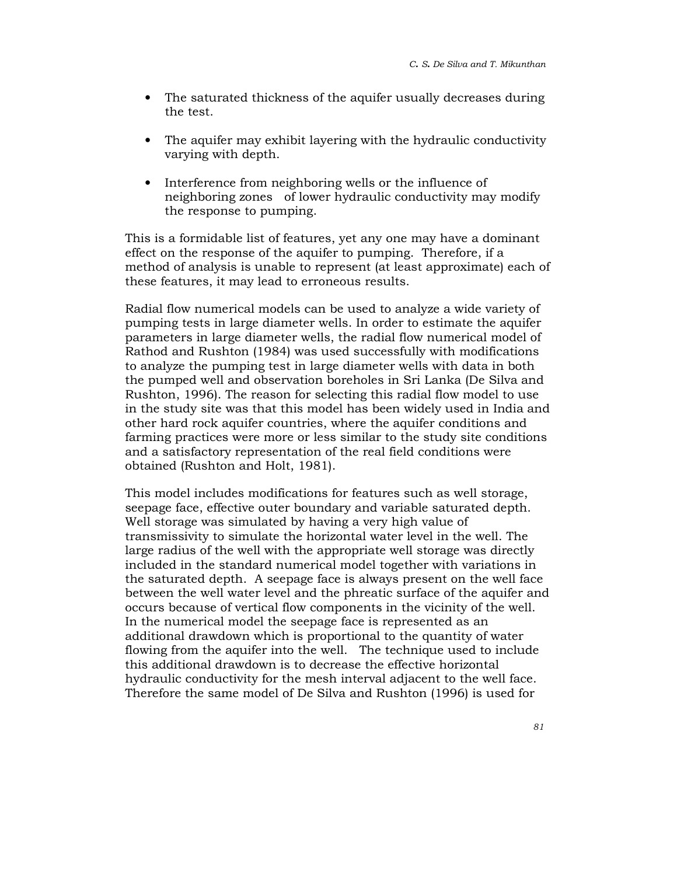- The saturated thickness of the aquifer usually decreases during the test.
- The aquifer may exhibit layering with the hydraulic conductivity varying with depth.
- Interference from neighboring wells or the influence of neighboring zones of lower hydraulic conductivity may modify the response to pumping.

This is a formidable list of features, yet any one may have a dominant effect on the response of the aquifer to pumping. Therefore, if a method of analysis is unable to represent (at least approximate) each of these features, it may lead to erroneous results.

Radial flow numerical models can be used to analyze a wide variety of pumping tests in large diameter wells. In order to estimate the aquifer parameters in large diameter wells, the radial flow numerical model of Rathod and Rushton (1984) was used successfully with modifications to analyze the pumping test in large diameter wells with data in both the pumped well and observation boreholes in Sri Lanka (De Silva and Rushton, 1996). The reason for selecting this radial flow model to use in the study site was that this model has been widely used in India and other hard rock aquifer countries, where the aquifer conditions and farming practices were more or less similar to the study site conditions and a satisfactory representation of the real field conditions were obtained (Rushton and Holt, 1981).

This model includes modifications for features such as well storage, seepage face, effective outer boundary and variable saturated depth. Well storage was simulated by having a very high value of transmissivity to simulate the horizontal water level in the well. The large radius of the well with the appropriate well storage was directly included in the standard numerical model together with variations in the saturated depth. A seepage face is always present on the well face between the well water level and the phreatic surface of the aquifer and occurs because of vertical flow components in the vicinity of the well. In the numerical model the seepage face is represented as an additional drawdown which is proportional to the quantity of water flowing from the aquifer into the well. The technique used to include this additional drawdown is to decrease the effective horizontal hydraulic conductivity for the mesh interval adjacent to the well face. Therefore the same model of De Silva and Rushton (1996) is used for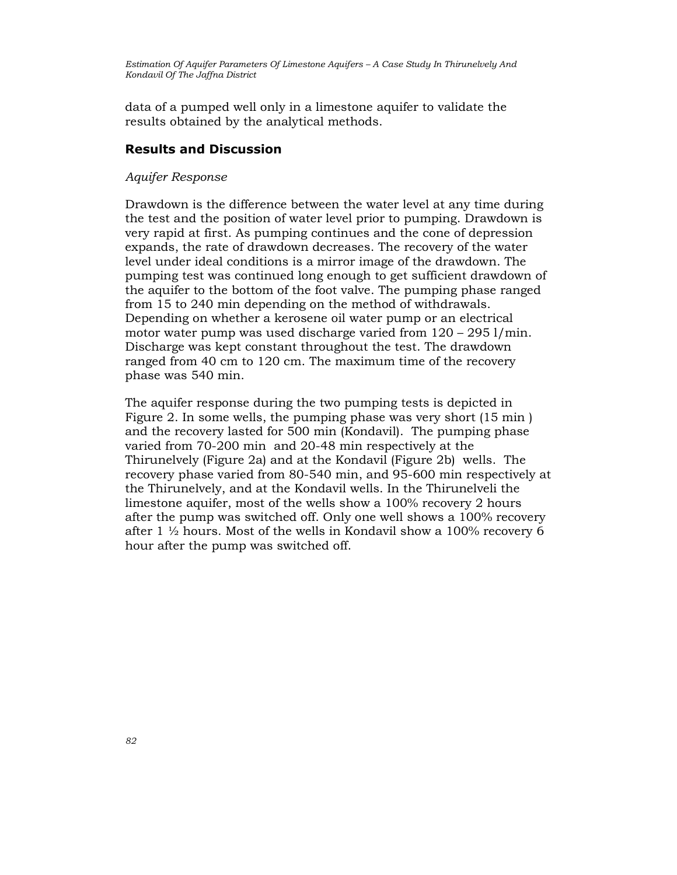data of a pumped well only in a limestone aquifer to validate the results obtained by the analytical methods.

### Results and Discussion

#### Aquifer Response

Drawdown is the difference between the water level at any time during the test and the position of water level prior to pumping. Drawdown is very rapid at first. As pumping continues and the cone of depression expands, the rate of drawdown decreases. The recovery of the water level under ideal conditions is a mirror image of the drawdown. The pumping test was continued long enough to get sufficient drawdown of the aquifer to the bottom of the foot valve. The pumping phase ranged from 15 to 240 min depending on the method of withdrawals. Depending on whether a kerosene oil water pump or an electrical motor water pump was used discharge varied from 120 – 295 l/min. Discharge was kept constant throughout the test. The drawdown ranged from 40 cm to 120 cm. The maximum time of the recovery phase was 540 min.

The aquifer response during the two pumping tests is depicted in Figure 2. In some wells, the pumping phase was very short (15 min ) and the recovery lasted for 500 min (Kondavil). The pumping phase varied from 70-200 min and 20-48 min respectively at the Thirunelvely (Figure 2a) and at the Kondavil (Figure 2b) wells. The recovery phase varied from 80-540 min, and 95-600 min respectively at the Thirunelvely, and at the Kondavil wells. In the Thirunelveli the limestone aquifer, most of the wells show a 100% recovery 2 hours after the pump was switched off. Only one well shows a 100% recovery after 1  $\frac{1}{2}$  hours. Most of the wells in Kondavil show a 100% recovery 6 hour after the pump was switched off.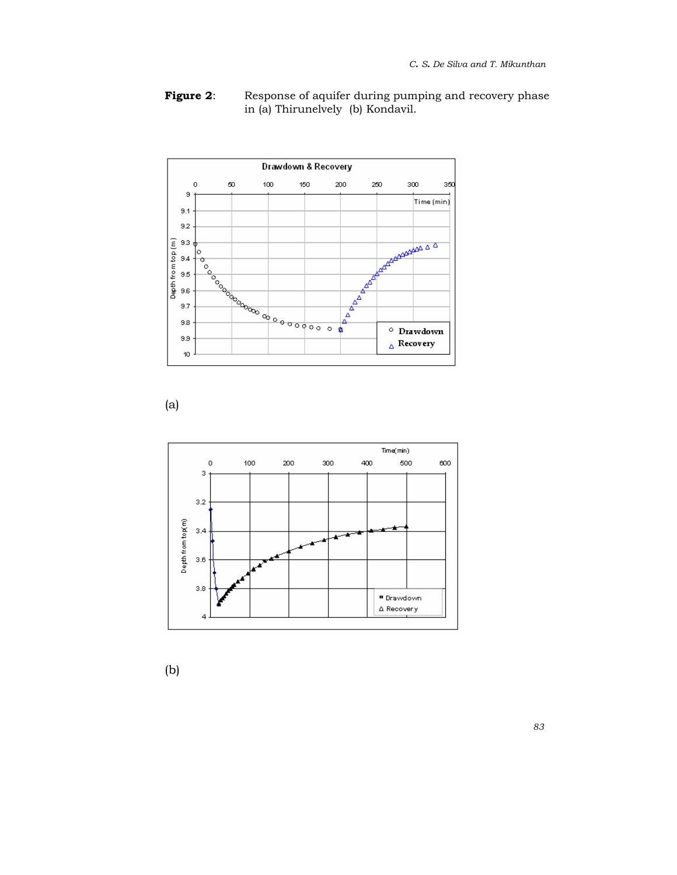

**Figure 2:** Response of aquifer during pumping and recovery phase in (a) Thirunelvely (b) Kondavil.

(a)



(b)

83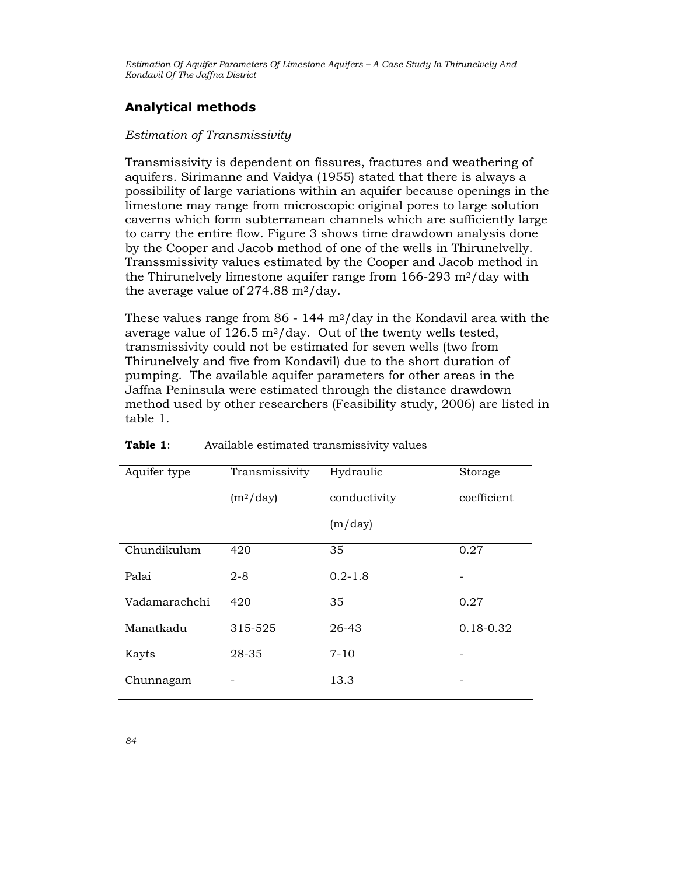## Analytical methods

#### Estimation of Transmissivity

Transmissivity is dependent on fissures, fractures and weathering of aquifers. Sirimanne and Vaidya (1955) stated that there is always a possibility of large variations within an aquifer because openings in the limestone may range from microscopic original pores to large solution caverns which form subterranean channels which are sufficiently large to carry the entire flow. Figure 3 shows time drawdown analysis done by the Cooper and Jacob method of one of the wells in Thirunelvelly. Transsmissivity values estimated by the Cooper and Jacob method in the Thirunelvely limestone aquifer range from  $166-293$  m<sup>2</sup>/day with the average value of  $274.88 \text{ m}^2/\text{day}$ .

These values range from 86 - 144  $\frac{m^2}{day}$  in the Kondavil area with the average value of  $126.5 \text{ m}^2/\text{day}$ . Out of the twenty wells tested, transmissivity could not be estimated for seven wells (two from Thirunelvely and five from Kondavil) due to the short duration of pumping. The available aquifer parameters for other areas in the Jaffna Peninsula were estimated through the distance drawdown method used by other researchers (Feasibility study, 2006) are listed in table 1.

| Aquifer type  | Transmissivity | Hydraulic    | Storage     |
|---------------|----------------|--------------|-------------|
|               | $(m^2/day)$    | conductivity | coefficient |
|               |                | (m/day)      |             |
| Chundikulum   | 420            | 35           | 0.27        |
| Palai         | $2 - 8$        | $0.2 - 1.8$  |             |
| Vadamarachchi | 420            | 35           | 0.27        |
| Manatkadu     | 315-525        | 26-43        | 0.18-0.32   |
| Kayts         | 28-35          | $7 - 10$     |             |
| Chunnagam     |                | 13.3         |             |

#### **Table 1:** Available estimated transmissivity values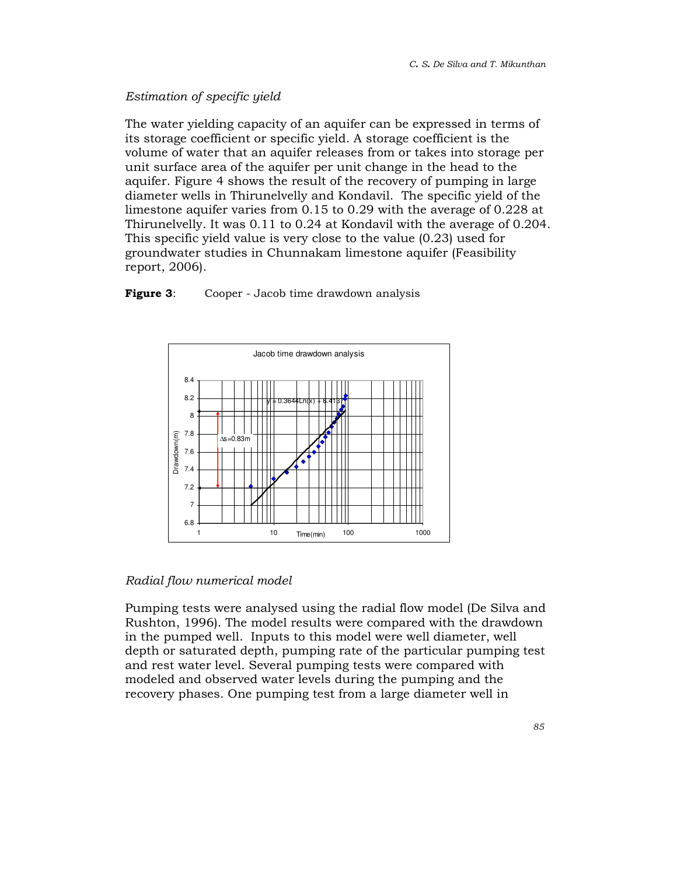## Estimation of specific yield

The water yielding capacity of an aquifer can be expressed in terms of its storage coefficient or specific yield. A storage coefficient is the volume of water that an aquifer releases from or takes into storage per unit surface area of the aquifer per unit change in the head to the aquifer. Figure 4 shows the result of the recovery of pumping in large diameter wells in Thirunelvelly and Kondavil. The specific yield of the limestone aquifer varies from 0.15 to 0.29 with the average of 0.228 at Thirunelvelly. It was 0.11 to 0.24 at Kondavil with the average of 0.204. This specific yield value is very close to the value (0.23) used for groundwater studies in Chunnakam limestone aquifer (Feasibility report, 2006).

**Figure 3:** Cooper - Jacob time drawdown analysis



#### Radial flow numerical model

Pumping tests were analysed using the radial flow model (De Silva and Rushton, 1996). The model results were compared with the drawdown in the pumped well. Inputs to this model were well diameter, well depth or saturated depth, pumping rate of the particular pumping test and rest water level. Several pumping tests were compared with modeled and observed water levels during the pumping and the recovery phases. One pumping test from a large diameter well in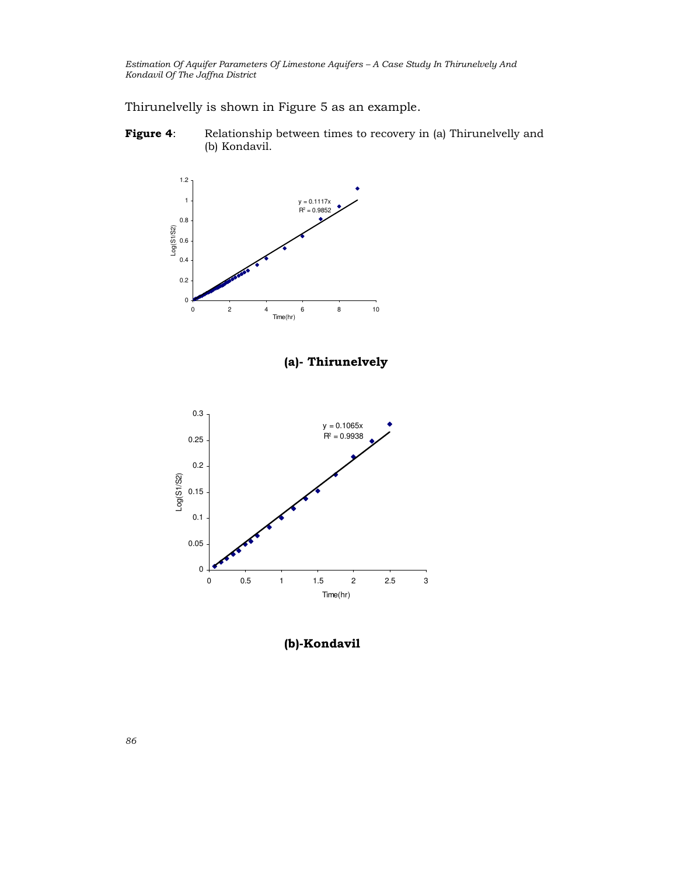Thirunelvelly is shown in Figure 5 as an example.

Figure 4: Relationship between times to recovery in (a) Thirunelvelly and (b) Kondavil.



(a)- Thirunelvely



(b)-Kondavil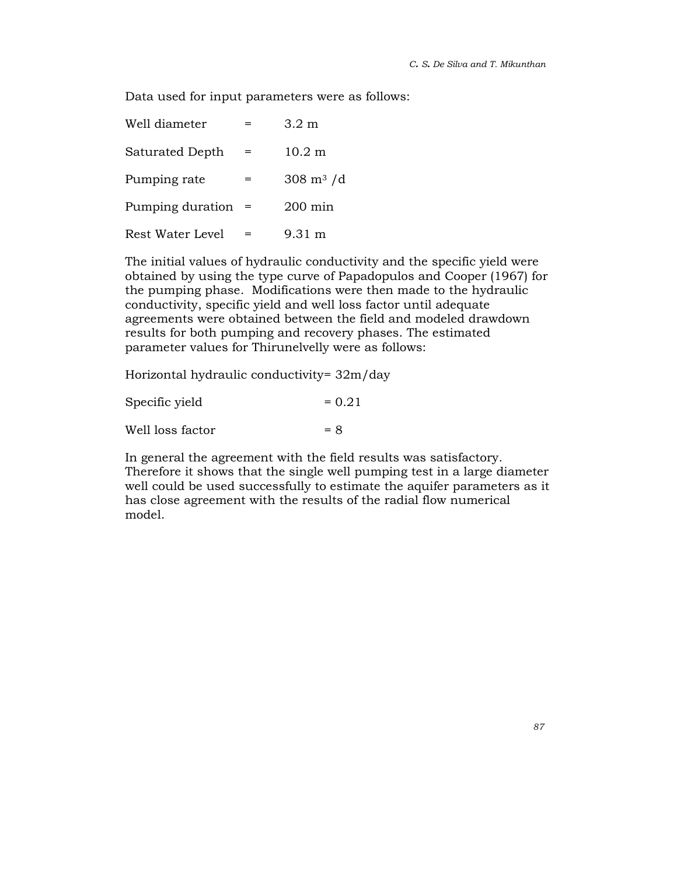Data used for input parameters were as follows:

| Well diameter           |     | $3.2 \text{ m}$            |
|-------------------------|-----|----------------------------|
| Saturated Depth         | $=$ | $10.2 \text{ m}$           |
| Pumping rate            | =   | $308 \text{ m}^3/\text{d}$ |
| Pumping duration        |     | $200 \text{ min}$          |
| <b>Rest Water Level</b> |     | $9.31 \text{ m}$           |

The initial values of hydraulic conductivity and the specific yield were obtained by using the type curve of Papadopulos and Cooper (1967) for the pumping phase. Modifications were then made to the hydraulic conductivity, specific yield and well loss factor until adequate agreements were obtained between the field and modeled drawdown results for both pumping and recovery phases. The estimated parameter values for Thirunelvelly were as follows:

Horizontal hydraulic conductivity=  $32m/day$ 

| Specific yield   | $= 0.21$ |
|------------------|----------|
| Well loss factor | $= 8$    |

In general the agreement with the field results was satisfactory. Therefore it shows that the single well pumping test in a large diameter well could be used successfully to estimate the aquifer parameters as it has close agreement with the results of the radial flow numerical model.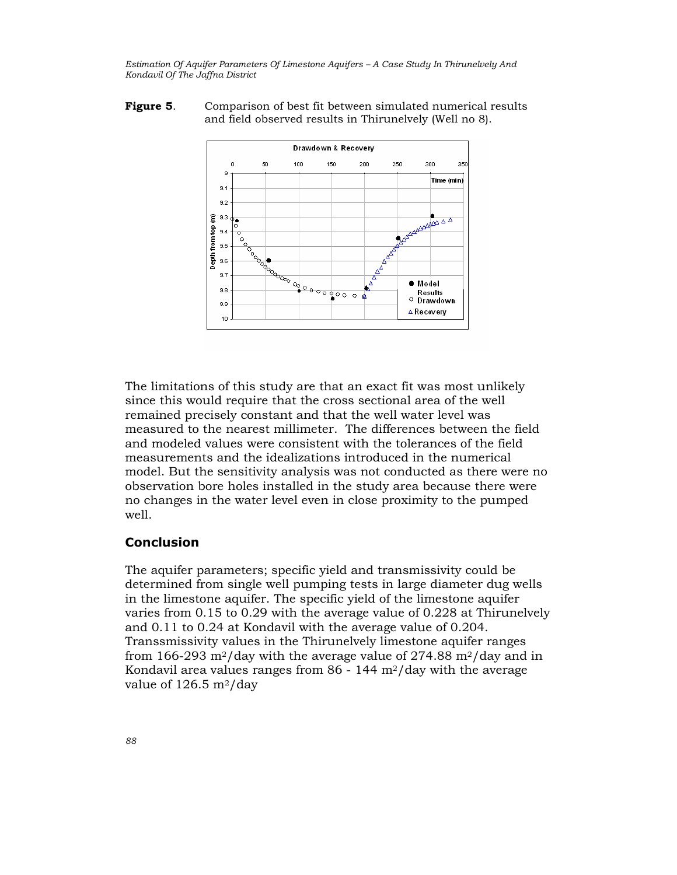#### Figure 5. Comparison of best fit between simulated numerical results and field observed results in Thirunelvely (Well no 8).



The limitations of this study are that an exact fit was most unlikely since this would require that the cross sectional area of the well remained precisely constant and that the well water level was measured to the nearest millimeter. The differences between the field and modeled values were consistent with the tolerances of the field measurements and the idealizations introduced in the numerical model. But the sensitivity analysis was not conducted as there were no observation bore holes installed in the study area because there were no changes in the water level even in close proximity to the pumped well.

### **Conclusion**

The aquifer parameters; specific yield and transmissivity could be determined from single well pumping tests in large diameter dug wells in the limestone aquifer. The specific yield of the limestone aquifer varies from 0.15 to 0.29 with the average value of 0.228 at Thirunelvely and 0.11 to 0.24 at Kondavil with the average value of 0.204. Transsmissivity values in the Thirunelvely limestone aquifer ranges from 166-293 m<sup>2</sup>/day with the average value of 274.88 m<sup>2</sup>/day and in Kondavil area values ranges from  $86 - 144$  m<sup>2</sup>/day with the average value of  $126.5 \text{ m}^2/\text{day}$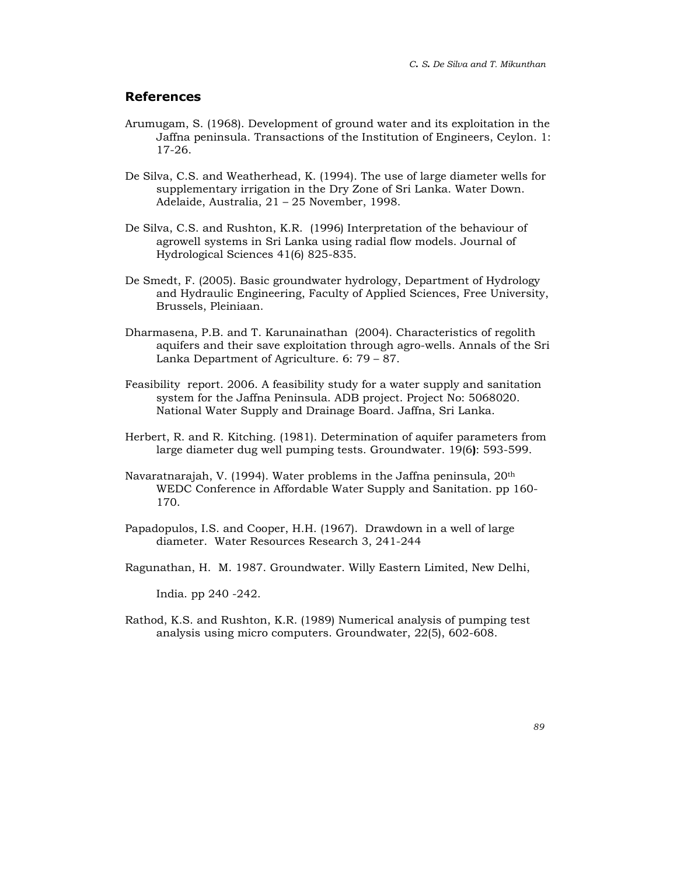### References

- Arumugam, S. (1968). Development of ground water and its exploitation in the Jaffna peninsula. Transactions of the Institution of Engineers, Ceylon. 1: 17-26.
- De Silva, C.S. and Weatherhead, K. (1994). The use of large diameter wells for supplementary irrigation in the Dry Zone of Sri Lanka. Water Down. Adelaide, Australia, 21 – 25 November, 1998.
- De Silva, C.S. and Rushton, K.R. (1996) Interpretation of the behaviour of agrowell systems in Sri Lanka using radial flow models. Journal of Hydrological Sciences 41(6) 825-835.
- De Smedt, F. (2005). Basic groundwater hydrology, Department of Hydrology and Hydraulic Engineering, Faculty of Applied Sciences, Free University, Brussels, Pleiniaan.
- Dharmasena, P.B. and T. Karunainathan (2004). Characteristics of regolith aquifers and their save exploitation through agro-wells. Annals of the Sri Lanka Department of Agriculture. 6: 79 – 87.
- Feasibility report. 2006. A feasibility study for a water supply and sanitation system for the Jaffna Peninsula. ADB project. Project No: 5068020. National Water Supply and Drainage Board. Jaffna, Sri Lanka.
- Herbert, R. and R. Kitching. (1981). Determination of aquifer parameters from large diameter dug well pumping tests. Groundwater. 19(6): 593-599.
- Navaratnarajah, V. (1994). Water problems in the Jaffna peninsula, 20th WEDC Conference in Affordable Water Supply and Sanitation. pp 160- 170.
- Papadopulos, I.S. and Cooper, H.H. (1967). Drawdown in a well of large diameter. Water Resources Research 3, 241-244
- Ragunathan, H. M. 1987. Groundwater. Willy Eastern Limited, New Delhi,

India. pp 240 -242.

Rathod, K.S. and Rushton, K.R. (1989) Numerical analysis of pumping test analysis using micro computers. Groundwater, 22(5), 602-608.